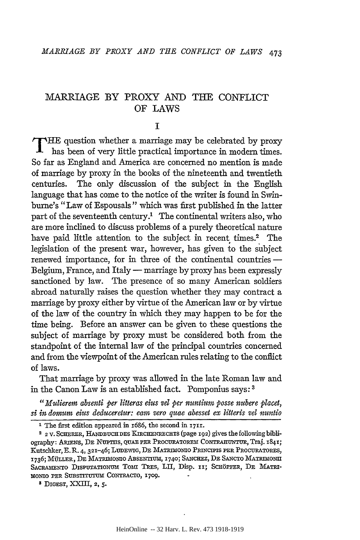### I

THE question whether a marriage may be celebrated by proxy has been of very little practical importance in modern times. So far as England and America are concerned no mention is made of marriage by proxy in the books of the nineteenth and twentieth centuries. The only discussion of the subject in the English language that has come to the notice of the writer is found in Swinburne's "Law of Espousals" which was first published in the latter part of the seventeenth century.<sup>1</sup> The continental writers also, who are more inclined to discuss problems of a purely theoretical nature have paid little attention to the subject in recent times.<sup>2</sup> The legislation of the present war, however, has given to the subject renewed importance, for in three of the continental countries -Belgium, France, and Italy — marriage by proxy has been expressly sanctioned by law. The presence of so many American soldiers abroad naturally raises the question whether they may contract a marriage by proxy either by virtue of the American law or by virtue of the law of the country in which they may happen to be for the time being. Before an answer can be given to these questions the subject of marriage by proxy must be considered both from the standpoint of the internal law of the principal countries concerned and from the viewpoint of the American rules relating to the conflict of laws.

That marriage by proxy was allowed in the late Roman law and in the Canon Law is an established fact. Pomponius says: 3

"*Mulierem absenti per litteras eius vel per nuntium posse nubere placet, si in domum eius deduceretur: cam vera quae abesset ex litteris vel mmtio* 

<sup>&</sup>lt;sup>1</sup> The first edition appeared in 1686, the second in 1711.

<sup>&</sup>lt;sup>2</sup> 2 V. SCHERER, HANDBUCH DES KIRCHENRECHTS (page 192) gives the following bibliography: ARIENS, DE NUPTIIS, QUAE PER PROCURATOREM CONTRAHUNTUR, Traj. 1841; Kutschker, E. R. 4, 321-46; LUDEWIG, DE MATRIMONIO PRINCIPIS PER PROCURATORES, 1736; MÜLLER, DE MATRIMONIO ABSENTIUM, 1740; SANCHEZ, DE SANCTO MATRIMONII SACRAMENTO DISPUTATIONUM TOMI TRES, LII, Disp. 11; SCHÖPFER, DE MATRI-MONIO PER SUBSTITUTUM CONTRACTO, 1709.

<sup>&</sup>lt;sup>3</sup> DIGEST, XXIII, 2, 5.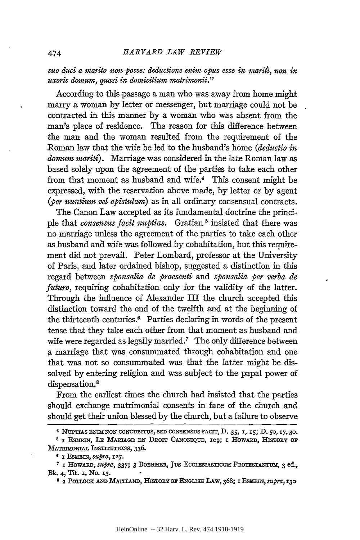*suo duci a marito non posse: deductione enim opus esse in maritt, non in uxoris domum, quasi in domicilium matrimonii."* 

According to this passage a man who was away from home might marry a woman by letter or messenger, but marriage could not be contracted in this manner by a woman who was absent from the man's place of residence. The reason for this difference between the man and the woman resulted from the requirement of the Roman law that the wife be led to the husband's home *(deductio in domum mariti).* Marriage was considered in the late Roman law as based solely upon the agreement of the parties to take each other from that moment as husband and wife.<sup>4</sup> This consent might be expressed, with the reservation above made, by letter or by agent (ber nuntium vel epistulam) as in all ordinary consensual contracts.

The Canon Law accepted as its fundamental doctrine the principle that *consensus facit nuptias.* Gratian 5 insisted that there was no marriage unless the agreement of the parties to take each other as husband and wife was followed by cohabitation, but this requirement did not prevail. Peter Lombard, professor at the University of Paris, and later ordained bishop, suggested a distinction in this regard between *sponsalia de praesenti* and *sponsalia per verba de futuro*, requiring cohabitation only for the validity of the latter. Through the influence of Alexander III the church accepted this distinction toward the end of the twelfth and at the beginning of the thirteenth centuries.6 Parties declaring in words of the present tense that they take each other from that moment as husband and wife were regarded as legally married.<sup>7</sup> The only difference between a marriage that was consummated through cohabitation and one that was not so consummated was that the latter might be dissolved by entering religion and was subject to the papal power of dispensation.<sup>8</sup>

From the earliest times the church had insisted that the parties should exchange matrimonial consents in face of the church and should get their union blessed by the church, but a failure to observe

<sup>4</sup>NUPTIAS ENIMNON CONCUBITUS, SED CONSENSUS FACIT, D. 35, I, I5; D. 50, I7, 30.

<sup>&</sup>lt;sup>5</sup> I ESMEIN, LE MARIAGE EN DROIT CANONIQUE, 109; I HOWARD, HISTORY OF MATRIMONIAL INSTITUTIONS, 336.

<sup>1</sup> I EsMEIN, *supra,* I27.

<sup>7</sup> I HowAIID, *supra,* 337; *3* BoEHMER, Jus EcCLESIASTICUM PRoTESTANTUM, *3* ed., Bk. 4, Tit. I, No. I3.

<sup>&</sup>lt;sup>8</sup> 2 POLLOCK AND MAITLAND, HISTORY OF ENGLISH LAW, 368; I ESMEIN, *supra*, 130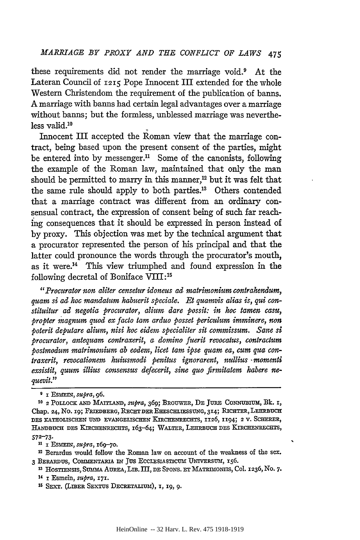these requirements did not render the marriage void.<sup>9</sup> At the Lateran Council of 1215 Pope Innocent III extended for the whole Western Christendom the requirement of the publication of banns. A marriage with banns had certain legal advantages over a marriage without banns; but the formless, unblessed marriage was neverthe $less$  valid.<sup>10</sup>

Innocent III accepted the Roman view that the marriage contract, being based upon the present consent of the parties, might be entered into by messenger.<sup>11</sup> Some of the canonists, following the example of the Roman law, maintained that only the man should be permitted to marry in this manner, $^{12}$  but it was felt that the same rule should apply to both parties.<sup>13</sup> Others contended that a marriage contract was different from an ordinary consensual contract, the expression of consent being of such far reach ing consequences that it should be expressed in person instead of by proxy. This objection was met by the technical argument that a procurator represented the person of his principal and that the latter could pronounce the words through the procurator's mouth, as it were.14 This view triumphed and found expression in the following decretal of Boniface VIII: <sup>15</sup>

*"Procurator non aliter censetur idoneus ad matrimonium contrahemlum, quam si ad hoc mandatum habuerit speciale. Et quamvis alias is, qui constituitur ad negotia procurator, alium dare possit: in hoc tamen casu, propter magnum quod ex facto tam arduo posset periculum imminere, non poterit deputare alium, nisi hoc eidem specialiter sit commissum. Sane si procurator, antequam contraxerit, a domino fuerit revocatus, contractum postmodum matrimonium ab eadem, licet tam ipse quam ea, cum qua contraxerit, revocationem httiusmodi penitus ignorarent, nullius* · *momenti exsistit, quum illius consensus defecerit, sine quo firmitatem habere ne- -guevit."* 

u I EsMEIN, *supra,* I6g-7o.

12 Berardus would follow the Roman law on account of the weakness of the sex. 3 BERARDUS, COMMENTARIA IN JUS ECCLESIASTICUM UNIVERSUM, 156.

g I ESMEIN, *supra,* 96.

<sup>10 2</sup> PoLLOCK AND MAITLAND, *supra,* 369; BROUWER, DE JURE CoNNUBIUM, Bk. I, Chap. 24, No. 19; FRIEDBERG, RECHT DER EHESCHLIESSUNG, 314; RICHTER, LEHRBUCH DES KATHOLISCHEN UND EVANGELISCHEN KIRCHENRECHTS, 1126, 1194; 2 V. SCHERER, HANDBUCH DES KIRCHENRECHTS, 163-64; WALTER, LEHRBUCH DES KIRCHENRECHTS, 572-73·

<sup>&</sup>lt;sup>13</sup> HOSTIENSIS, SUMMA AUREA, LIB. III, DE SPONS. ET MATRIMONIIS, Col. 1236, No. 7. 14 I Esmein, *s11pra,* I7I.

<sup>15</sup> SEXT. (LmER SEXTUS DECRETALIUM), I, I9, 9·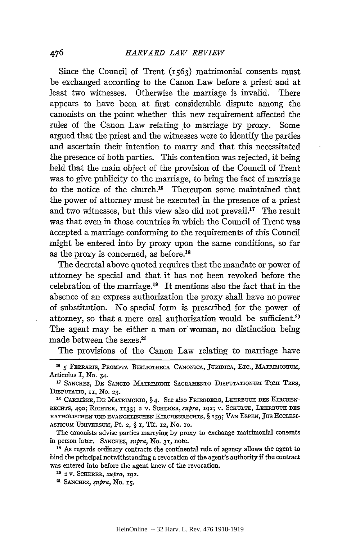Since the Council of Trent  $(r<sub>563</sub>)$  matrimonial consents must be exchanged according to the Canon Law before a priest and at least two witnesses. Otherwise the marriage is invalid. There appears to have been at first considerable dispute among the canonists on the point whether this new requirement affected the rules of the Canon Law relating to marriage by proxy. Some argued that the priest and the witnesses were to identify the parties and ascertain their intention to marry and that this necessitated the presence of both parties. This contention was rejected, it being held that the main object of the provision of the Council of Trent was to give publicity to the marriage, to bring the fact of marriage to the notice of the church.16 Thereupon some maintained that the power of attorney must be executed \_in the presence of a priest and two witnesses, but this view also did not prevail.<sup>17</sup> The result was that even in those countries in which the Council of Trent was accepted a marriage conforming to the requirements of this Council might be entered into by proxy upon the same conditions, so far as the proxy is concerned, as before.18

The decretal above quoted requires that the mandate or power of attorney be special and that it has not been revoked before the celebration of the marriage.19 It mentions also the fact that in the absence of an express authorization the proxy shall have no power of substitution. No special form is prescribed for the power of attorney, so that a mere oral authorization would be sufficient.<sup>20</sup> The agent may be either a man or' woman, no distinction being made between the sexes.21

The provisions of the Canon Law relating to marriage have

The canonists advise parties marrying by proxy to exchange matrimonial consents in person later. SANCHEZ, *stepra,* No. 3I, note. 19 As regards ordinary contracts the continental rule of agency allows the agent to

bind the principal notwithstanding a revocation of the agent's authority if the contract was entered into before the agent knew of the revocation.

<sup>&</sup>lt;sup>16</sup> 5 FERRARIS, PROMPTA BIBLIOTHECA CANONICA, JURIDICA, ETC., MATRIMONIUM, Articulus I, No. 34.

<sup>&</sup>lt;sup>17</sup> SANCHEZ, DE SANCTO MATRIMONII SACRAMENTO DISPUTATIONUM TOMI TRES, DISPUTATIO, II, No. 23.<br><sup>18</sup> CARRIÈRE, DE MATRIMONIO, § 4. See also FRIEDBERG, LEHRBUCH DES KIRCHEN-

RECHTS, 490; RICHTER, 1133; 2 V. SCHERER, *supra*, 192; V. SCHULTE, LEHRBUCH DES KATHOLISCHEN UND EVANGELISCHEN KIRCHENRECHTS, § 159; VAN ESPEN, JUS ECCLESI-ASTICUM UNIVERSUM, Pt. 2, § 1, Tit. 12, No. 10.

<sup>2</sup>o 2 v. SCHERER, *stepra,* I92.

<sup>&</sup>lt;sup>21</sup> SANCHEZ, *supra*, No. 15.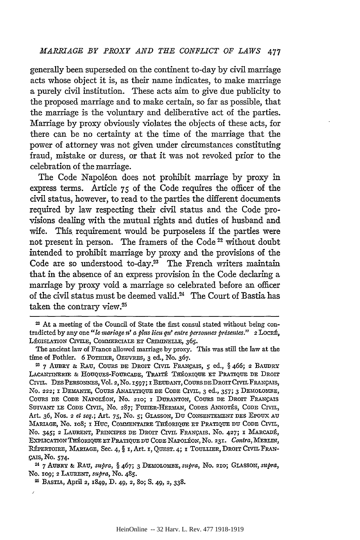generally been superseded on the continent to-day by civil marriage acts whose object it is, as their name indicates, to make marriage a purely civil institution. These acts aim to give due publicity to the proposed marriage and to make certain, so far as possible, that the marriage is the voluntary and deliberative act of the parties. Marriage by proxy obviously violates the objects of these acts, for there can be no certainty at the time of the marriage that the power of attorney was not given under circumstances constituting fraud, mistake or duress, or that it was not revoked prior to the celebration of the marriage.

The Code Napoléon does not prohibit marriage by proxy in express terms. Article  $75$  of the Code requires the officer of the civil status, however, to read to the parties the different documents required by law respecting their civil status and the Code provisions dealing with the mutual rights and duties of husband and wife. This requirement would be purposeless if the parties were not present in person. The framers of the Code<sup>22</sup> without doubt intended to prohibit marriage by proxy and the provisions of the Code are so understood to-day.<sup>23</sup> The French writers maintain that in the absence of an express provision in the Code declaring a marriage by proxy void a marriage so celebrated before an officer of the civil status must be deemed valid.24 The Court of Bastia has taken the contrary view.<sup>25</sup>

No. Io9; 2 LAURENT, *supra,* No. 485.

25 BAsTIA, April 2, I849, D. 49, 2, So; s. 49, 2, 338.

<sup>22</sup> At a meeting of the Council of State the first consul stated without being contradicted by any one "le mariage n' a plus lieu qu' entre personnes présentes." 2 LOCRÉ, LÉGISLATION CIVILE, COMMERCIALE ET CRIMINELLE, 365.

The ancient law of France allowed marriage by proxy. This was still the law at the time of Pothier. 6 POTHIER, OEUVRES, 3 ed., No. 367. 23 7 AUBRY & RAU, COURS DE DROIT CIVIL FRANÇAIS, 5 ed., § 466; 2 BAUDRY

LACANTINERIE & HOUQUES-FOURCADE, TRAITÉ THÉORIQUE ET PRATIQUE DE DROIT CIVIL. DES PERSONNES, Vol. 2, No. 1597; I BEUDANT, COURS DE DROIT CIVIL FRANÇAIS, No. 222; I DEMANTE, CoURS ANALYTIQUE DE CoDE CIVIL, 3 ed., 357; 3 DEMOLOMBE, COURS DE CODE NAPOLÉON, No. 210; I DURANTON, COURS DE DROIT FRANÇAIS SUIVANT LE CODE CIVIL, No. 287; FUZIER-HERMAN, CODES ANNOTÉS, CODE CIVIL, Art. 36, Nos. 2 *et seq.*; Art. 75, No. 5; GLASSON, DU CONSENTEMENT DES EPOUX AU MARIAGE, No. 108; I HUC, COMMENTAIRE THÉORIQUE ET PRATIQUE DU CODE CIVIL, No. 345; 2 LAURENT, PRINCIPES DE DROIT CIVIL FRANÇAIS, No. 427; I MARCADÉ, EXPLICATIONTB:tORIQUE ET PRATIQUE DU CoDE NAPOLEON, No. 23I. *Contra,* MERLIN, RÉPERTOIRE, MARIAGE, Sec. 4, § 1, Art. 1, QUEST. 4; I TOULLIER, DROIT CIVIL FRAN-!;:AIS, No. 574· 24 7 AUBRY &: RAu, *stepra,* § 467; 3 DEMOLOMBE, *supra,* No. 2Io; GLASSON, *supra,*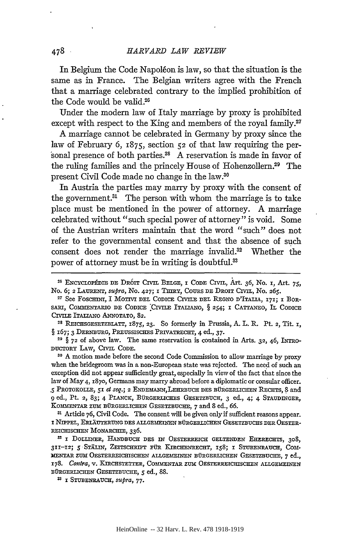In Belgium the Code Napoléon is law, so that the situation is the same as in France. The Belgian writers agree with the French that a marriage celebrated contrary to the implied prohibition of the Code would be valid.26

Under the modern law of Italy marriage by proxy is prohibited except with respect to the King and members of the royal family.<sup>27</sup>

A marriage cannot be celebrated in Germany by proxy since the law of February 6,  $1875$ , section  $52$  of that law requiring the personal presence of both parties.28 A reservation is made in favor of the ruling families and the princely House of Hohenzollern.29 The present Civil Code made no change in the law.30

In Austria the parties may marry by proxy with the consent of the government. $31$  The person with whom the marriage is to take place must be mentioned in the power of attorney. A marriage celebrated without "such special power of attorney" is void. Some of the Austrian writers maintain that the word "such" does not refer to the governmental consent and that the absence of such consent does not render the marriage invalid.<sup>32</sup> Whether the power of attorney must be in writing is doubtful.<sup>33</sup>

§ 167; 3 DERNBURG, PREUSSISCHES PRIVATRECHT, 4 ed., 37.<br><sup>29</sup> § 72 of above law. The same reservation is contained in Arts. 32, 46, INTRO-

DUCTORY LAW, CIVIL CODE.<br><sup>30</sup> A motion made before the second Code Commission to allow marriage by proxy

when the bridegroom was in a non-European state was rejected. The need of such an exception did not appear sufficiently great, especially in view of the fact that since the law of May 4, 1870, Germans may marry abroad before a diplomatic or consular officer. *.5* PROTOKOLLE, 5I *el seq.;* 2 ENDEMANN,LEHRBUCH DES BuRGERLICHEN RECHTS,? and 9 ed., Pt. 2, 83; 4 PLANCK, BURGERLICHES GESETZBUCH, 3 ed., 4; 4 STAUDINGER, KOMMENTAR ZUM BURGERLICHEN GESETZBUCHE,  $\gamma$  and 8 ed., 66.<br><sup>31</sup> Article 76, Civil Code. The consent will be given only if sufficient reasons appear.

I NIPPEL, ERLAUTERUNG DES ALLGEMEINEN BURGERLICHEN GESETZBUCHS DER 0ESTER-REICHISCHEN MONARCHIE, 336.

<sup>32</sup> I DOLLINER, HANDBUCH DES IN OESTERREICH GELTENDEN EHERECHTS, 308, 3rr-rz; *5* ·STALIN, ZEITSCHRIFT FUR KlRCHENRECHT, I58; I STUBENRAUCH, CoMliENTAR ZUM: 0ESTERREICHISCHEN ALLGEMEINEN BURGERLICHEN GESETZBUCHE, 7 ed., 178. Contra, v. KIRCHSTETTER, COMMENTAR ZUM OESTERREICHISCHEN ALLGEMEINEN BURGERLICHEN GESETZBUCHE, *5* ed., 88.

33 I STUBENRAUCH, *S1tpra,* 77·

<sup>&</sup>lt;sup>26</sup> ENCYCLOPÉDIE DE DROIT CIVIL BELGE, I CODE CIVIL, Art. 36, No. 1, Art. 75, No. 6; 2 LAURENT, *supra*, No. 427; I THIRY, COURS DE DROIT CIVIL, No. 265. <sup>27</sup> See Foschini, I Motivi del Codice Civile del Regno d'Italia, 171; I Bor-

SARI, COMMENTARIO DE CODICE CIVILE ITALIANO, § 254; I CATTANEO, IL CODICE CIVILE ITALIANO ANNOTATO, 82.<br><sup>28</sup> REICHSGESETZBLATT, 1875, 23. So formerly in Prussia, A. L. R. Pt. 2, Tit. 1,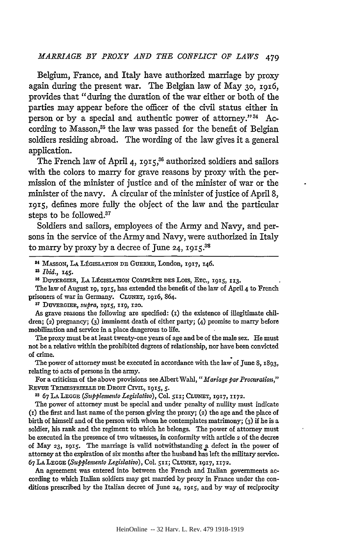Belgium, France, and Italy have authorized marriage by proxy again during the present war. The Belgian law of May 30, 1916, provides that "during the duration of the war either or both of the parties may appear before the officer of the civil status either in person or by a special and authentic power of attorney." 34 According to Masson,<sup>35</sup> the law was passed for the benefit of Belgian soldiers residing abroad. The wording of the law gives it a general application.

The French law of April 4, 1915,<sup>36</sup> authorized soldiers and sailors with the colors to marry for grave reasons by proxy with the permission of the minister of justice and of the minister of war or the minister of the navy. A circular of the minister of justice of April 8, 1915, defines more fully the object of the law and the particular steps to be followed.37

Soldiers and sailors, employees of the Army and Navy, and persons in the service of the Army and Navy, were authorized in Italy to marry by proxy by a decree of June 24, 1915.<sup>38</sup>

The law of August 19, 1915, has extended the benefit of the law of April 4 to French prisoners of war in Germany. CLUNET, 1916, 864.<br><sup>37</sup> DUVERGIER, *supra*, 1915, 119, 120.

As grave reasons the following are specified: (1) the existence of illegitimate children; (2) pregnancy; (3) imminent death of either party; (4) promise to marry before mobilization and service in a place dangerous to life.

The proxy must be at least twenty-one years of age and be of the male sex. He must not be a relative within the prohibited degrees of relationship, nor have been convicted of crime. •

The power of attorney must be executed in accordance with the law of June 8, 1893, relating to acts of persons in the army.

For a criticism of the above provisions see Albert Wahl, "Mariage par Procuration," REVUE TRIMESTRIELLE DE DROIT CIVIL, 1915, 5.

<sup>33</sup> 67 LA LEGGE (Supplemento Legislativo), Col. 511; CLUNET, 1917, 1172.

The power of attorney must be special and under penalty of nullity must indicate (1) the first and last name of the person giving the proxy; (2) the age and the place of birth of himself and of the person with whom he contemplates matrimony; (3) if he is a soldier, his rank and the regiment to which he belongs. The power of attorney must be executed in the presence of two witnesses, in conformity with article 2 of the decree of May 23, 1915. The marriage is valid notwithstanding a defect in the power of attorney at the expiration of six months after the husband has left the military service. 67 LA LEGGE *(Supplemento Legislativo),* Col. sn; CLUNET, 1917, II72.

An agreement was entered into between the French and Italian governments according to which Italian soldiers may get married by proxy in France under the conditions prescribed by the Italian decree of June 24, 1915, and by way of reciprocity

<sup>14</sup> MASSON, LA LEGISLATION DE GuERRE, London, 1917, 146.

<sup>&</sup>lt;sup>25</sup> *Ibid.*, 145.<br><sup>36</sup> DUVERGIER, LA LÉGISLATION COMPLÈTE DES LOIS, ETC., 1015, 113.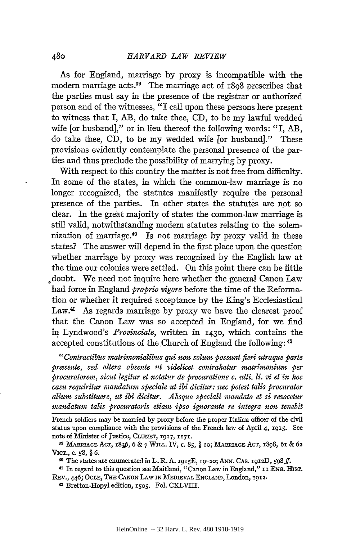As for England, marriage by proxy is incompatible with the modern marriage acts.<sup>39</sup> The marriage act of r808 prescribes that the parties must say in the presence of the registrar or authorized person and of the witnesses, "I call upon these persons here present to witness that I, AB, do take thee, CD, to be my lawful wedded wife [or husband]," or in lieu thereof the following words: "I, AB, do take thee, CD, to be my wedded wife [or husband]." These provisions evidently contemplate the personal presence of the parties and thus preclude the possibility of marrying by proxy.

With respect to this country the matter is not free from difficulty. In some of the states, in which the common-law marriage is no longer recognized, the statutes manifestly require the personal presence of the parties. In other states the statutes are n\_ot so clear. In the great majority of states the common-law marriage is still valid, notwithstanding modem statutes relating to the solemnization of marriage.40 Is not marriage by proxy valid in these states? The answer will depend in the first place upon the question whether marriage by proxy was recognized by the English law at the time our colonies were settled. On this point there can be little .doubt. We need not inquire here whether the general Canon Law had force in England *proprio vigore* before the time of the Reformation or whether it required acceptance by the King's Ecclesiastical Law.<sup>41</sup> As regards marriage by proxy we have the clearest proof that the Canon Law was so accepted in England, for we find ~ Lyndwood's *Provinciale,* written in 1430, which contains the accepted constitutions of the Church of England the following:  $42$ 

*"Contractib'tts matrimonialibus qui non solum possunt fieri utraque parte prcesente, sed altera absente ut videlicet contrahatur matrimonium per procuratorem, sicut legitur et 1totatur de procuratione c. ttlti. li.* vi *et in hoc casu requiritur mandatum speciale ut ibi dicitter: nee potest talis procurator alium substituere, ut ibi dicitur. Absque speciali mandata et si revocetur mandatum talis procuratoris etiam ipso ignorante re integra non tenebit* 

French soldiers may be married by proxy before the proper Italian officer of the civil status upon compliance with the provisions of the French law of April 4, 1915. See note of Minister of Justice, CLUNET, 1917, 1171.<br><sup>39</sup> MARRIAGE ACT, 1836, 6 & 7 WILL. IV, c. 85, § 20; MARRIAGE ACT, 1898, 61 & 62

VICT., c. 58, § 6.<br><sup>40</sup> The states are enumerated in L. R. A. 1915E, 19-20; ANN. CAs. 1912D, 598 ff.

<sup>&</sup>lt;sup>41</sup> In regard to this question see Maitland, "Canon Law in England," II ENG. HIST. REv., 446; OGLE, THE CANON LAW IN MEDIEVAL ENGLAND, London, I9I2·

<sup>~</sup> Bretton-Hopyl edition, *rsos.* Fol. CXLVITI.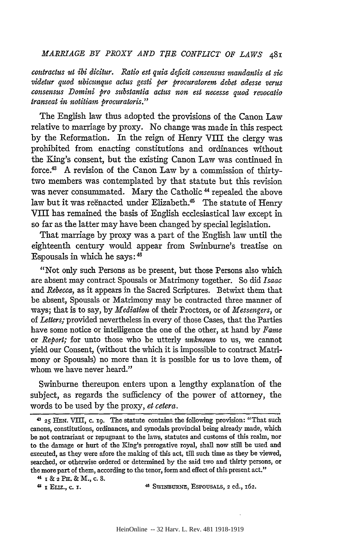*coutractus ut ibi dicitur. Ratio est quia deficit consensus mandantis et sic videtur quod ubicunque actus gesti per procuratorem debet adesse verus cousensus Domini pro substautia actus non est necesse quod revocatio transeat in notitiam procuratoris."* 

The English law thus adopted the provisions of the Canon Law relative to marriage by proxy. No change was made in this respect by the Reformation. In the reign of Henry Vill the clergy was prohibited from enacting constitutions and ordinances without the King's consent, but the existing Canon Law was continued in force.43 A revision of the Canon Law by a commission of thirtytwo members was contemplated by that statute but this revision was never consummated. Mary the Catholic<sup>44</sup> repealed the above law but it was reënacted under Elizabeth.<sup>45</sup> The statute of Henry Vill has remained the basis of English ecclesiastical law except in so far as the latter may have been changed by special legislation.

That marriage by proxy was a part of the English law until the eighteenth century would appear from Swinburne's treatise on Espousals in which he says: <sup>46</sup>

"Not only such Persons as be present, but those Persons also which are absent may contract Spousals or Matrimony together. So did *Isaac*  and *Rebecca,* as it appears in the Sacred Scriptures. Betwixt them that be absent, Spousals or Matrimony may be contracted three manner of ways; that is to say, by *Mediation* of their Proctors, or of *Messengers,* or of *Letters;* provided nevertheless in every of those Cases, that the Parties have some notice or intelligence the one of the other, at hand by *Fame*  or *Report;* for unto those who be utterly *unknown* to us, we cannot yield our Consent, (without the which it is impossible to contract Matrimony or Spousals) no more than it is possible for us to love them, of whom we have never heard."

Swinburne thereupon enters upon a lengthy explanation of the subject, as regards the sufficiency of the power of attorney, the words to be used by the proxy, *et cetera*.

<sup>43</sup>25 HEN. VIII, c. 19. The statute contains the following provision: "That such canons, constitutions, ordinances, and synodals provincial being already made, which be not contrariant or repugnant to the laws, statutes and customs of this realm, nor to the damage or hurt of the King's prerogative royal, shall now still be used and executed, as they were afore the making of this act, till such time as they be viewed, searched, or otherwise ordered or determined by the said two and thirty persons, or the more part of them, according to the tenor, form and effect of this present act."

 $44$  I & 2 PH. & M., c. 8.

<sup>4</sup>i I ELIZ., c. I. 46 SWINBURNE, ESPOUSALS, 2 ed., 162.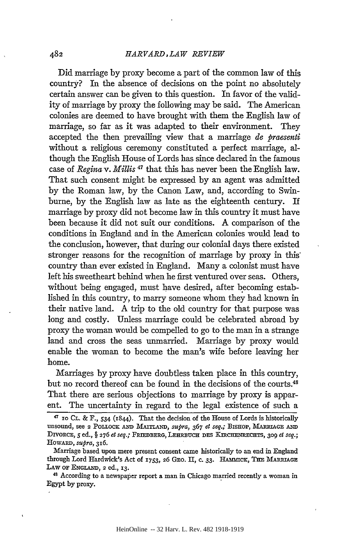Did marriage by proxy become a part of the common law of this country? In the absence of decisions on the point no absolutely certain answer can be given to this question. In favor of the validity of marriage by proxy the following may be said. The American colonies are deemed to have brought with them the English law of marriage, so far as it was adapted to their environment. They accepted the then prevailing view that a marriage *de praesenti*  without a religious ceremony constituted a perfect marriage, although the English House of Lords has since declared in the famous case of *Regina* v. *Millis* 47 that this has never been the English law. That such consent might be expressed by an agent was admitted by the Roman law, by the Canon Law, and, according to Swinburne, by the English law as late as the eighteenth century. If marriage by proxy did not become law in this country it must have been because it did not suit our conditions. A comparison of the conditions in England and in the American colonies would lead to the conclusion, however, that during our colonial days there existed stronger reasons for the recognition of marriage by proxy in this· country than ever existed in England. Many a colonist must have left his sweetheart behind when he first ventured over seas. Others, without being engaged, must have desired, after becoming established in this country, to marry someone whom they had known in their native land. A trip to the old country for that purpose was long and costly. Unless marriage could be celebrated abroad by proxy the woman would be compelled to go to the man in a strange land and cross the seas unmarried. Marriage by proxy would enable the woman to become the man's wife before leaving her home.

Marriages by proxy have doubtless taken place in this country, but no record thereof can be found in the decisions of the courts.<sup>48</sup> That there are serious objections to marriage by proxy is apparent. The uncertainty in regard to the legal existence of such a

<sup>&</sup>lt;sup>47</sup> ro CL. & F., 534 (1844). That the decision of the House of Lords is historically unsound, see 2 POLLOCK AND MAITLAND, *supra*, 367 *et seq.*; BISHOP, MARRIAGE AND DIVORCE, *5* ed., § 276 *et seq.;* FRIEDBERG, LEHRBUCH DES KmCHENRECHTS, 309 *et seq.;*  HowARD, *sxtpra,* 3r6.

Marriage based upon mere present consent came historically to an end in England through Lord Hardwick's Act of 1753, 26 GEO. II, c. 33. HAMMICK, THE MARRIAGE LAW OF ENGLAND, 2 ed., 13.<br><sup>48</sup> According to a newspaper report a man in Chicago married recently a woman in

Egypt by proxy.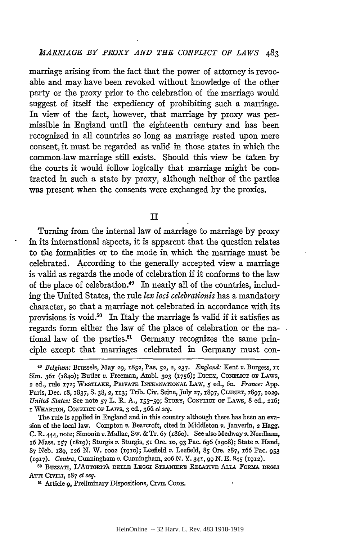marriage arising from the fact that the power of attorney is revocable and may have been revoked without knowledge of the other party or the proxy prior to the celebration of the marriage would suggest of itself the expediency of prohibiting such a marriage. In view of the fact, however, that marriage by proxy was permissible in England until the eighteenth century and has been recognized in all countries so long as marriage rested upon mere consent, it must be regarded as valid in those states in which the common-law marriage still exists. Should this view be taken by the courts it would follow logically that marriage might be contracted in such a state by proxy, although neither of the parties was present when the consents were exchanged by the proxies.

II

Turning from the internal law of marriage to marriage by proxy in its international aspects, it is apparent that the question relates to the formalities or to the mode in which the marriage must be celebrated. According to the generally accepted view a marriage is valid as regards the mode of celebration if it conforms to the law of the place of celebration.49 In nearly all of the countries, including the United States, the rule *lex loci celebrationis* has a mandatory character, so that a marriage not celebrated in accordance with its provisions is void.<sup>50</sup> In Italy the marriage is valid if it satisfies as regards form either the law of the place of celebration or the national law of the parties.<sup>51</sup> Germany recognizes the same principle except that marriages celebrated in Germany must con-

The rule is applied in England and in this country although there has been an evasion of the local law. Compton *v.* Bearcroft, cited in Middleton *v.* Janverin, 2 Hagg. C. R. 444, note; Simonin *v.* Mallac, Sw. & Tr. 67 ( r86o ). See also Medway *v.* Needham, r6 Mass. 157 (r8r9); Sturgis *v.* Sturgis, 51 Ore. ro, 93 Pac. 696 (r9o8); State *v.* Hand, 87 Neb. r89, 126 N. W. roo2 (r9ro); Leefield *v.* Leefield, 85 Ore. 287, r66 Pac. 953 (1917). *Contra,* Cunningham *v.* Cunningham, 206 N.Y. 341, 99 N. E. 845 (1912).

<sup>50</sup> BUZZATI, L'AUTORITÀ DELLE LEGGI STRANIERE RELATIVE ALLA FORMA DEGLI ATTI Crvru, 187 *et seq.* 

<sup>51</sup> Article 9, Preliminary Dispositions, CrvIL Cone.

<sup>49</sup> *Belgium:* Brussels, May 29, r852, Pas. 52, 2, 237. *England:* Kent *v.* Burgess, II Sim. 361 (r84o); Butler *v.* Freeman, Ambl. 303 (1756); DICEY, CoNFLICT OF LAWS, 2 ed., rule 172; 'VESTLAKE, PRIVATE INTERNATIONAL LAW, *5* ed., 6o. *Fram:e:* App. Paris, Dec. 18, 1837, S. 38, 2, 113; Trib. Civ. Seine, July 27, 1897, CLUNET, 1897, 1029. United States: See note 57 L. R. A., 155-59; STORY, CONFLICT OF LAWS, 8 ed., 216; r WHARTON, CoNFLICT OF LAws, 3 ed., 366 *etseq.*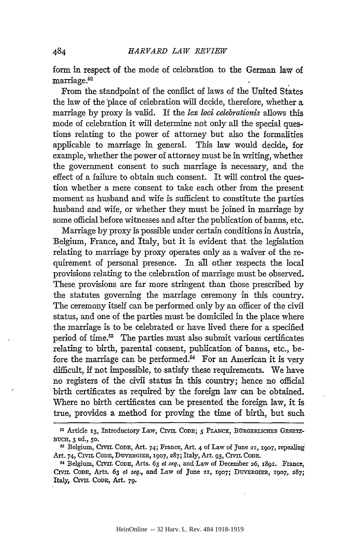form in respect of the mode of celebration to the German law of marriage.<sup>52</sup>

From the standpoint of the conflict of laws of the United States the law of the 'place of celebration will decide, therefore, whether a marriage by proxy is valid. If the *lex loci celebrationis* allows this mode of celebration it will determine not only all the special questions relating to the power of attorney but also the formalities applicable to marriage in general. This law would decide, for example, whether the power of attorney must be in writing, whether the government consent to such marriage is necessary, and the effect of a failure to obtain such consent. It will control the question whether a mere consent to take each other from the present moment as husband and wife is sufficient to constitute the parties husband and wife, or whether they must be joined in marriage by some official before witnesses and after the publication of banns, etc.

Marriage by proxy is possible under certain conditions in Austria, Belgium, France, and Italy, but it is evident that the legislation relating to marriage by proxy operates only as a waiver of the requirement of personal presence. In all other respects the local provisions relating to the celebration of marriage must be observed. These provisions are far more stringent than those prescribed by the statutes governing the marriage ceremony in this country. The ceremony itself can be performed only by an officer of the civil status, and one of the parties must be domiciled in the place where the marriage is to be celebrated or have lived there for a specified period of time.53 The parties must also submit various certificates relating to birth, parental consent, publication of banns, etc., before the marriage can be performed.<sup>54</sup> For an American it is very difficult, if not impossible, to satisfy these requirements. We have no registers of the civil status in this country; hence no official birth certificates as required by the foreign law can be obtained. Where no birth certificates can be presented the foreign law, it is true, provides a method for proving the time of birth, but such

484

<sup>&</sup>lt;sup>52</sup> Article 13, Introductory Law, CIVIL CODE; *5 PLANCK*, BÜRGERLICHES GESETZ-BUCH, 3 ed., 50.<br><sup>53</sup> Belgium, CIVIL CODE, Art. 74; France, Art. 4 of Law of June 21, 1907, repealing

Art. 74, CIVIL CoDE, DUVERGIER, r907, 287; Italy, Art. 93, CIVIL CODE. 54 Belgium, CIVIL CODE, Arts. 63 *et seq.,* and Law of December 26, r89r. France,

CIVIL CODE, Arts. 63 *et seq.*, and Law of June 21, 1907; DUVERGIER, 1907, 287; Italy, CIVIL CoDE, Art. 79·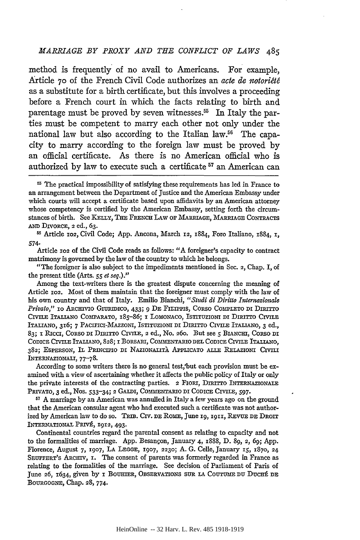method is frequently of no avail to Americans. For example, Article 70 of the French Civil Code authorizes an *acte de notoriete*  as a substitute for a birth certificate, but this involves a proceeding before a French court in which the facts relating to birth and parentage must be proved by seven witnesses.<sup>55</sup> In Italy the parties must be competent to marry each other not only under the national law but also according to the Italian law.<sup>56</sup> The capacity to marry according to the foreign law must be proved by an official certificate. As there is no American official who is authorized by law to execute such a certificate 57 an American can

55 Article Io2, Civil Code; App. Ancona, March I2, I884, Foro Italiano, I884, I, 574·

Article 102 of the Civil Code reads as follows: "A foreigner's capacity to contract matrimony is governed by the law of the country to which he belongs.

"The foreigner is also subject to the impediments mentioned in Sec. 2, Chap. I, of the present title (Arts. 55 *et seq.)."* 

Among the text-writers there is the greatest dispute concerning the meaning of Article 102. Most of them maintain that the foreigner must comply with the law of his own country and that of Italy. Emilio Bianchi, *"Studi di Diritto Intemazionale Privato*," io ARCHIVIO GIURIDICO, 433; 9 DE FILIPPIS, CORSO COMPLETO DI DIRITTO CIVILE ITALIANO COMPARATO, I8S-86; I LOMONACO, ISTITUZIONI DI DIRITTO CIVILE ITALIANO, 3I6; 7 PACIFICI-MAZZONI, ISTITUZIONI DI DIRITTO CIVILE ITALIANO, 3 ed., 83; I RICCI, CORSO DI DIRITTO CIVILE, 2 ed., No. 260. But see 5 BIANCHI, CORSO DI CODICE CIVILE ITALIANO, 828; I BORSARI, COMMENTARIO DEL CODICE CIVILE ITALIANO, 382; ESPERSON, IL PRINCIPIO DI NAZIONALITÀ APPLICATO ALLE RELAZIONI CIVILI lNTERNAZIONALI, 77-78.

According to some writers there is no general test,'but each provision must be examined with a view of ascertaining whether it affects the public policy of Italy or only the private interests of the contracting parties. 2 FIORI, DIRITTO INTERNAZIONALE PRIVATO, 3 ed., Nos. 533-34; 2 GALDI, COMMENTARIO DI CODICE CIVILE, 597.

<sup>57</sup> A marriage by an American was annulled in Italy a few years ago on the ground that the American consular agent who had executed such a certificate was not authorized by American law to do so. TRIB. CIV. DE ROME, June 19, 1911, REVUE DE DROIT INTERNATIONAL PRIVÉ, 1912, 493.

Continental countries regard the parental consent as relating to capacity and not to the formalities of marriage. App. Besançon, January 4,  $1888$ , D. 89, 2, 69; App. Florence, August 7, I907, LA LEGGE, I907, 2230; A. G. Celle,January IS, I87o, 24 SEUFFERT's ARcmv, I. The consent of parents was formerly regarded in France as relating to the formalities of the marriage. See decision of Parliament of Paris of June 26, 1634, given by I BOUHIER, OBSERVATIONS SUR LA COUTUME DU DUCHÉ DE BOURGOGNE, Chap. 28, 774.

<sup>55</sup> The practical impossibility of satisfying these requirements has led in France to an arrangement between the Department of Justice and the American Embassy under which courts will accept a certificate based upon aflidavits by an American attorney whose competency is certified by the American Embassy, setting forth the circumstances of birth. See KELLY, THE FRENCH LAW OF MARRIAGE, MARRIAGE CONTRACTS AND DIVORCE, 2 ed., 63.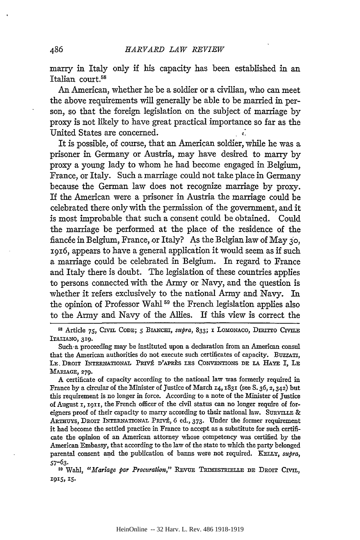marry in Italy only if his capacity has been established in an Italian court.<sup>58</sup>

An American, whether he be a soldier or a civilian, who can meet the above requirements will generally be able to be married in person, so that the foreign legislation on the subject of marriage by proxy is not likely to have great practical importance so far as the United States are concerned. ~.

It is possible, of course, that an American soldier, while he was a prisoner in Germany or Austria, may have desired to marry by proxy a young lady to whom he had become engaged in Belgium, France, or Italy. Such a marriage could not take place in Germany because the German law does not recognize marriage by proxy. If the American were a prisoner in Austria the marriage could be celebrated there only with the permission of the government, and it is most improbable that such a consent could be obtained. Could the marriage be performed at the place of the residence of the fiancée in Belgium, France, or Italy? As the Belgian law of May  $30$ , 1916, appears to have a general application it would seem as if such a marriage could be celebrated in Belgium. In regard to France and Italy there is doubt. The legislation of these countries applies to persons connected with the Army or Navy, and the question is whether it refers exclusively to the national Army and Navy. In the opinion of Professor Wahl 59 the French legislation applies also to the Army and Navy of the Allies. If this view is correct the

58 Article *75,* Crvn. CODE; *5* BIANCHI, *stepra,* 833; I LOMONACO, DIRITTO Crvn.E ITALIANO, 319.

A certificate of capacity according to the national law was formerly required in France by a circular of the Minister of Justice of March I4, I83I (seeS. 36, 2, 342) but this requirement is no longer in force. According to a note of the Minister of Justice of August I, I9II, the French officer of the civil status can no longer require of foreigners proof of their capacity to marry according to their national law. SURVILLE & ARTHUYS, DROIT INTERNATIONAL PRIVÉ, 6 ed., 373. Under the former requirement it had become the settled practice in France to accept as a substitute for such certificate the opinion of an American attorney whose competency was certified by the American Embassy, that according to the law of the state to which the party belonged parental consent and the publication of banns were not required. KELLY, *stepra,*  57-63.

<sup>59</sup> Wahl, "Mariage par Procuration," REVUE TRIMESTRIELLE DE DROIT CIVIL, I9I5, I5.

Such·a proceeding may be instituted upon a declaration from an American consul that the American authorities do not execute such certificates of capacity. BuzzATI, LE. DROIT INTERNATIONAL PRIVÉ D'APRÈS LES CONVENTIONS DE LA HAYE I, LE MARIAGE, 279·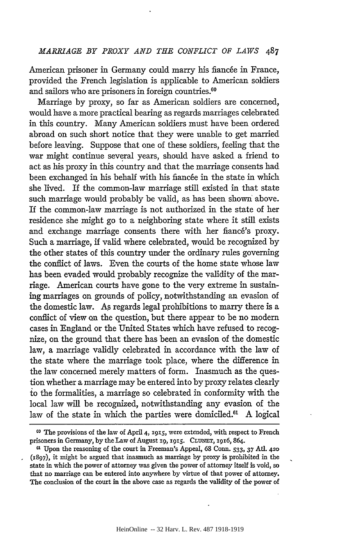American prisoner in Germany could marry his fiancée in France, provided the French legislation is applicable to American soldiers and sailors who are prisoners in foreign countries.<sup>60</sup>

Marriage by proxy, so far as American soldiers are concerned, would have a more practical bearing as regards marriages celebrated in this country. Many American soldiers must have been ordered abroad on such short notice that they were unable to get married before leaving. Suppose that one of these soldiers, feeling that the war might continue several years, should have asked a friend to act as his proxy in this country and that the marriage consents had been exchanged in his behalf with his fiancée in the state in which she lived. If the common-law marriage still existed in that state such marriage would probably be valid, as has been shown' above. If the common-law marriage is not authorized in the state of her residence she might go to a neighboring state where it still exists and exchange marriage consents there with her fiancé's proxy. Such a marriage, if valid where celebrated, would be recognized by the other states of this country under the ordinary rules governing the conflict of laws. Even the courts of the home state whose law has been evaded would probably recognize the validity of the marriage. American courts have gone to the very extreme in sustaining marriages on grounds of policy, notwithstanding an evasion of the domestic law. As regards legal prohibitions to marry there is a conflict of view an the question, but there appear to be no modem cases in England or the United States which have refused to recognize, on the ground that there has been an evasion of the domestic law, a marriage validly celebrated in accordance with the law of the state where the marriage took place, where the difference in the law concerned merely matters of form. Inasmuch as the question whether a marriage may be entered into by proxy relates clearly to the formalities, a marriage so celebrated in conformity with the local law will be recognized, notwithstanding any evasion of the law of the state in which the parties were domiciled.<sup>61</sup> A logical

co The provisions of the law of April4, 1915, were extended, with respect to French prisoners in Germany, by the Law of August 19, 1915. CLUNET, 1916, 864.

<sup>61</sup> Upon the reasoning of the court in Freeman's Appeal, 68 Conn. *533,* 37 Atl. 420 (1897), it might be argued that inasmuch as marriage by proxy is prohibited in the state in which the power of attorney was given the power of attorney itself is void, so that no marriage can be entered into anywhere by virtue of that power of attorney. The conclusion of the court in the above case as regards the validity of the power of